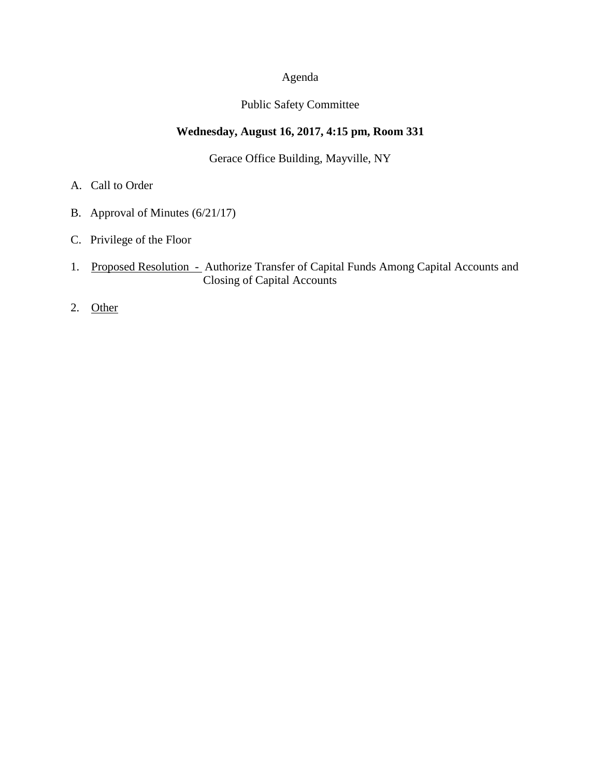# Agenda

### Public Safety Committee

## **Wednesday, August 16, 2017, 4:15 pm, Room 331**

Gerace Office Building, Mayville, NY

- A. Call to Order
- B. Approval of Minutes (6/21/17)
- C. Privilege of the Floor
- 1. Proposed Resolution Authorize Transfer of Capital Funds Among Capital Accounts and Closing of Capital Accounts
- 2. Other